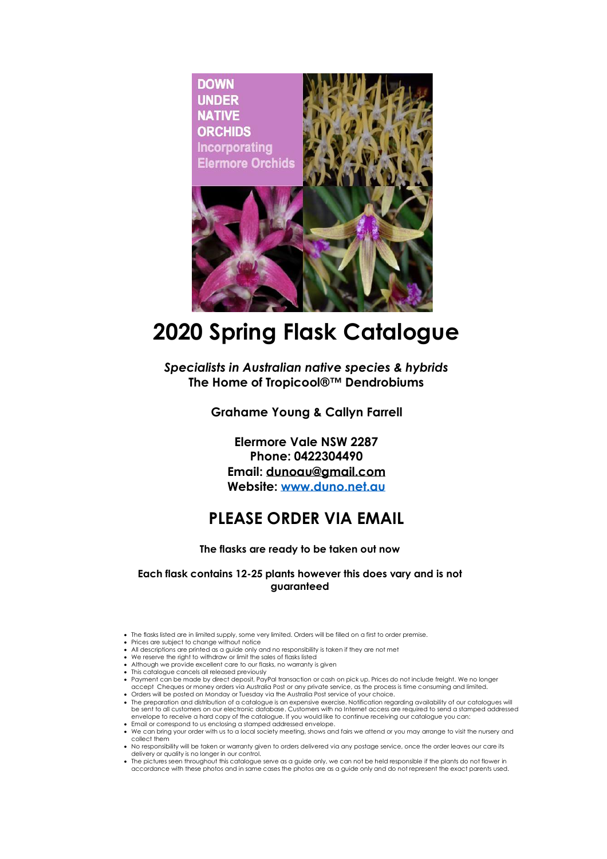

## **2020 Spring Flask Catalogue**

*Specialists in Australian native species & hybrids* **The Home of Tropicool®™ Dendrobiums**

## **Grahame Young & Callyn Farrell**

**Elermore Vale NSW 2287 Phone: 0422304490 Email: [dunoau@gmail.com](mailto:dunoau@gmail.com) Website: [www.duno.net.au](http://www.duno.net.au/)**

## **PLEASE ORDER VIA EMAIL**

## **The flasks are ready to be taken out now**

**Each flask contains 12-25 plants however this does vary and is not guaranteed**

- The flasks listed are in limited supply, some very limited. Orders will be filled on a first to order premise. Prices are subject to change without notice
- 
- All descriptions are printed as a guide only and no responsibility is taken if they are not met
- We reserve the right to withdraw or limit the sales of flasks listed • Although we provide excellent care to our flasks, no warranty is given
- This catalogue cancels all released previously
- ∙ Payment can be made by direct deposit, PayPal transaction or cash on pick up. Prices do not include freight. We no longer<br>accept Cheques or money orders via Australia Post or any private service, as the process is time
- 
- Orders will be posted on Monday or Tuesday via the Australia Post service of your choice.<br>• The preparation and distribution of a catalogue is an expensive exercise. Notification regarding availability of our catalogues be sent to all customers on our electronic database. Customers with no Internet access are required to send a stamped addressed envelope to receive a hard copy of the catalogue. If you would like to continue receiving our catalogue you can: • Email or correspond to us enclosing a stamped addressed envelope.
- We can bring your order with us to a local society meeting, shows and fairs we attend or you may arrange to visit the nursery and collect them
- No responsibility will be taken or warranty given to orders delivered via any postage service, once the order leaves our care its
- delivery or quality is no longer in our control. The pictures seen throughout this catalogue serve as a guide only, we can not be held responsible if the plants do not flower in accordance with these photos and in same cases the photos are as a guide only and do not represent the exact parents used.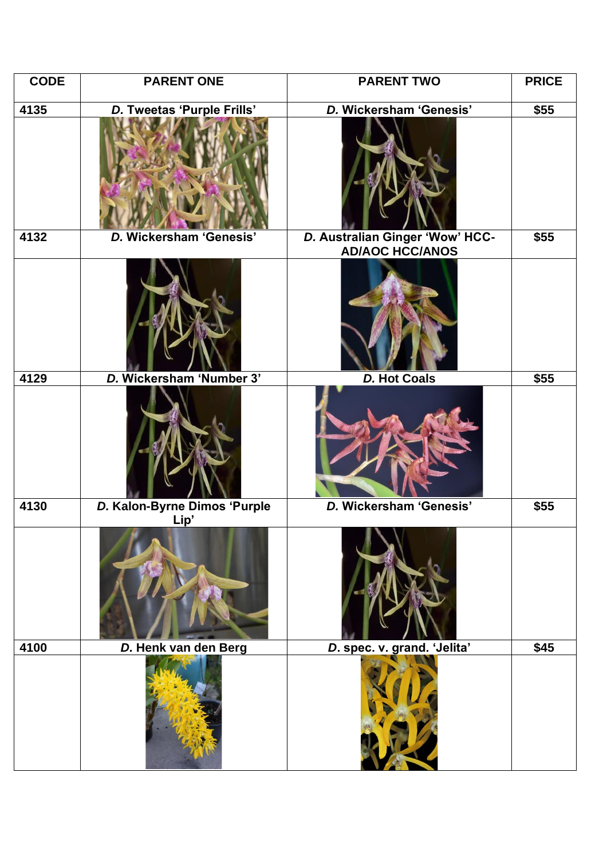| <b>CODE</b> | <b>PARENT ONE</b>            | <b>PARENT TWO</b>                                         | <b>PRICE</b> |
|-------------|------------------------------|-----------------------------------------------------------|--------------|
| 4135        | D. Tweetas 'Purple Frills'   | D. Wickersham 'Genesis'                                   | \$55         |
|             |                              |                                                           |              |
| 4132        | D. Wickersham 'Genesis'      | D. Australian Ginger 'Wow' HCC-<br><b>AD/AOC HCC/ANOS</b> | \$55         |
|             |                              |                                                           |              |
| 4129        | D. Wickersham 'Number 3'     | <b>D. Hot Coals</b>                                       | \$55         |
|             |                              |                                                           |              |
| 4130        | D. Kalon-Byrne Dimos 'Purple | D. Wickersham 'Genesis'                                   | \$55         |
|             | Lip'                         |                                                           |              |
| 4100        | D. Henk van den Berg         | D. spec. v. grand. 'Jelita'                               | \$45         |
|             |                              |                                                           |              |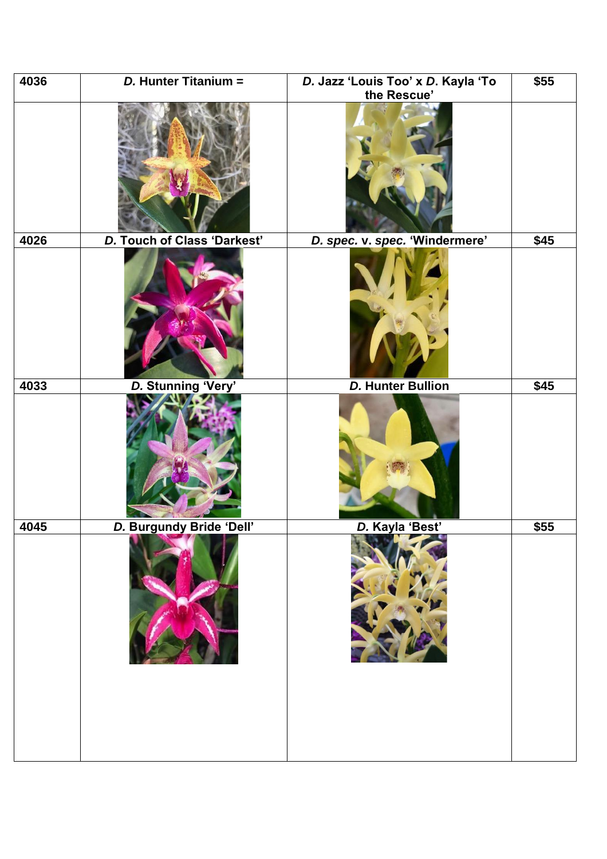| 4036 | D. Hunter Titanium =        | D. Jazz 'Louis Too' x D. Kayla 'To | \$55 |
|------|-----------------------------|------------------------------------|------|
|      |                             | the Rescue'                        |      |
|      |                             |                                    |      |
| 4026 | D. Touch of Class 'Darkest' | D. spec. v. spec. 'Windermere'     | \$45 |
|      |                             |                                    |      |
| 4033 | D. Stunning 'Very'          | <b>D. Hunter Bullion</b>           | \$45 |
|      |                             |                                    |      |
| 4045 | D. Burgundy Bride 'Dell'    | D. Kavla 'Best'                    | \$55 |
|      |                             |                                    |      |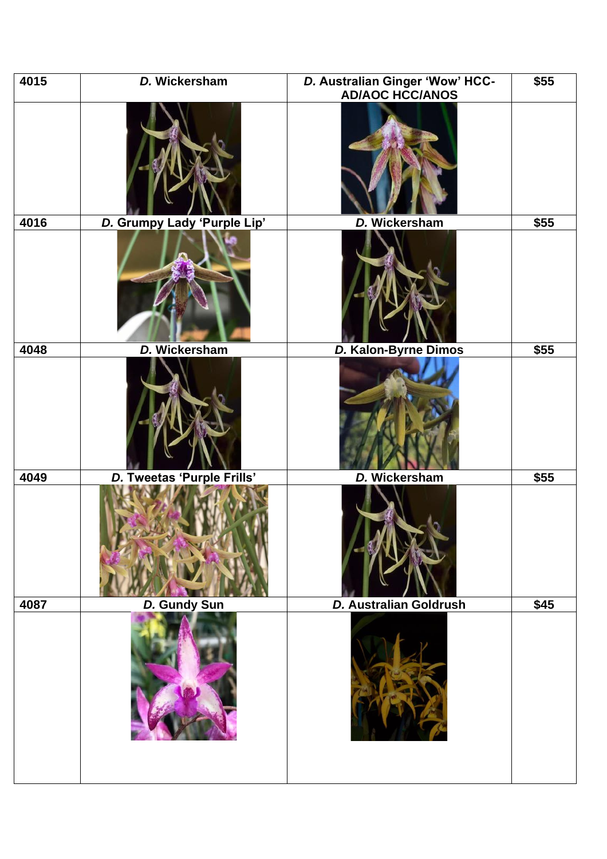| 4015 | D. Wickersham               | D. Australian Ginger 'Wow' HCC-<br><b>AD/AOC HCC/ANOS</b> | \$55 |
|------|-----------------------------|-----------------------------------------------------------|------|
|      |                             |                                                           |      |
| 4016 | D. Grumpy Lady 'Purple Lip' | D. Wickersham                                             | \$55 |
|      |                             |                                                           |      |
| 4048 | D. Wickersham               | D. Kalon-Byrne Dimos                                      | \$55 |
|      |                             |                                                           |      |
| 4049 | D. Tweetas 'Purple Frills'  | D. Wickersham                                             | \$55 |
|      |                             |                                                           |      |
| 4087 | <b>D. Gundy Sun</b>         | D. Australian Goldrush                                    | \$45 |
|      |                             |                                                           |      |